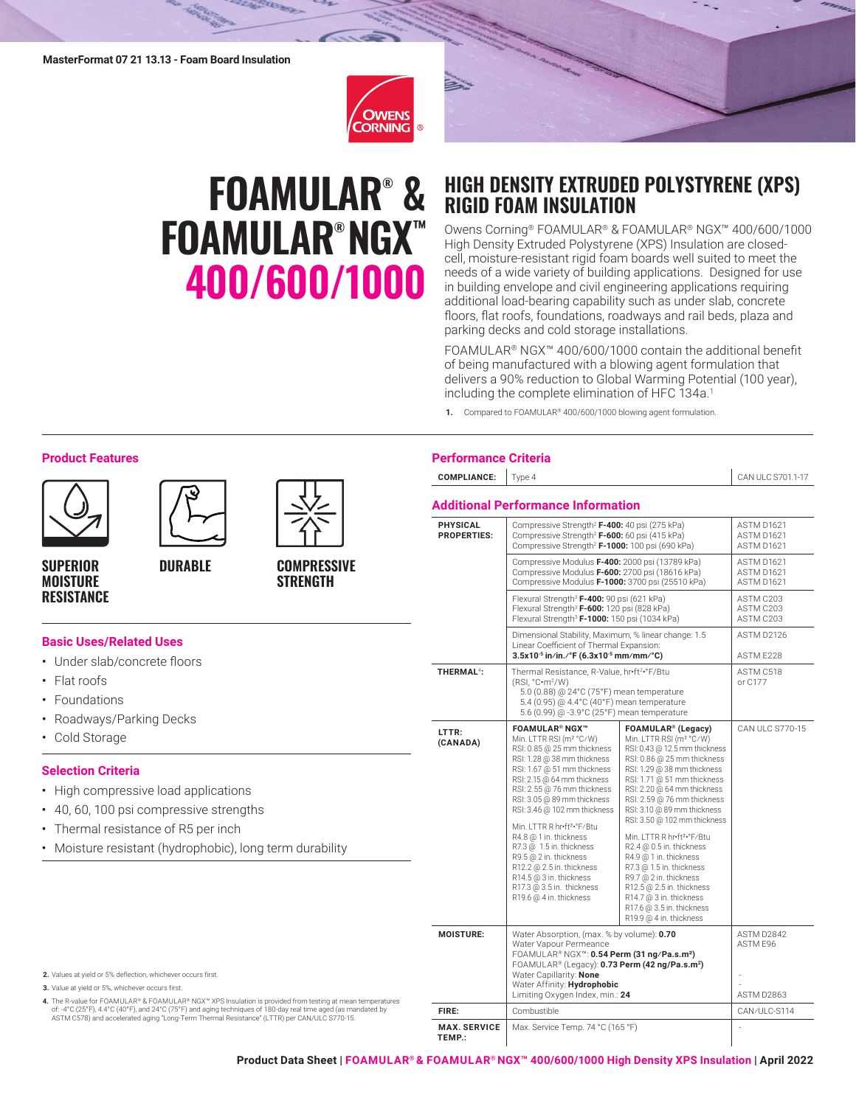

# **FOAMULAR® & FOAMULAR® NGX™ 400/600/1000**



## **HIGH DENSITY EXTRUDED POLYSTYRENE (XPS) RIGID FOAM INSULATION**

Owens Corning® FOAMULAR® & FOAMULAR® NGX™ 400/600/1000 High Density Extruded Polystyrene (XPS) Insulation are closedcell, moisture-resistant rigid foam boards well suited to meet the needs of a wide variety of building applications. Designed for use in building envelope and civil engineering applications requiring additional load-bearing capability such as under slab, concrete floors, flat roofs, foundations, roadways and rail beds, plaza and parking decks and cold storage installations.

FOAMULAR® NGX™ 400/600/1000 contain the additional benefit of being manufactured with a blowing agent formulation that delivers a 90% reduction to Global Warming Potential (100 year), including the complete elimination of HFC 134a.<sup>1</sup>

**1.** Compared to FOAMULAR® 400/600/1000 blowing agent formulation.

# **Selection Criteria** • High compressive load applications • 40, 60, 100 psi compressive strengths • Thermal resistance of R5 per inch • Moisture resistant (hydrophobic), long term durability **Basic Uses/Related Uses** • Under slab/concrete floors • Flat roofs • Foundations • Roadways/Parking Decks • Cold Storage **SUPERIOR MOISTURE RESISTANCE COMPRESSIVE STRENGTH DURABLE Performance Criteria**

**4.** The R-value for FOAMULAR® & FOAMULAR® NGX™ XPS Insulation is provided from testing at mean temperatures of 140 cf: -4°C (25°F), 4.4°C (40°F), and 24°C (75°F) and aging techniques of 180-day real time aged (as mandate of: -4°C (25°F), 4.4°C (40°F), and 24°C (75°F) and aging techniques of 180-day real time aged (as mandated by ASTM C578) and accelerated aging "Long-Term Thermal Resistance" (LTTR) per CAN/ULC S770-15.

#### **COMPLIANCE:** Type 4 CAN ULC S701.1-17 **PHYSICAL PROPERTIES:** Compressive Strength2 **F-400:** 40 psi (275 kPa) Compressive Strength2 **F-600:** 60 psi (415 kPa) Compressive Strength2 **F-1000:** 100 psi (690 kPa) ASTM D1621 ASTM D1621 ASTM D1621 Compressive Modulus **F-400:** 2000 psi (13789 kPa) Compressive Modulus **F-600:** 2700 psi (18616 kPa) Compressive Modulus **F-1000:** 3700 psi (25510 kPa) ASTM D1621 ASTM D1621 ASTM D1621 Flexural Strength3 **F-400:** 90 psi (621 kPa) Flexural Strength3 **F-600:** 120 psi (828 kPa) Flexural Strength3 **F-1000:** 150 psi (1034 kPa) ASTM C203 ASTM C203 ASTM C203 Dimensional Stability, Maximum, % linear change: 1.5 Linear Coefficient of Thermal Expansion: **3.5x10-5 in/in./°F (6.3x10-5 mm/mm/°C)** ASTM D2126 ASTM E228 **THERMAL**<sup>4</sup>**: LTTR: (CANADA)** Thermal Resistance, R-Value, hr•ft<sup>2</sup>•°F/Btu (RSI, °C•m2/W) 5.0 (0.88) @ 24°C (75°F) mean temperature 5.4 (0.95) @ 4.4°C (40°F) mean temperature 5.6 (0.99) @ -3.9°C (25°F) mean temperature ASTM C518 or C177 **FOAMULAR® NGX™** Min. LTTR RSI (m2 °C/W) RSI: 0.85 @ 25 mm thickness RSI: 1.28 @ 38 mm thickness RSI: 1.67 @ 51 mm thickness RSI: 2.15 @ 64 mm thickness RSI: 2.55 @ 76 mm thickness RSI: 3.05 @ 89 mm thickness RSI: 3.46 @ 102 mm thickness Min. LTTR R hr•ft2•°F/Btu R4.8 @ 1 in. thickness R7.3 @ 1.5 in. thickness R9.5 @ 2 in. thickness R12.2 @ 2.5 in. thickness R14.5 @ 3 in. thickness R17.3 @ 3.5 in. thickness R19.6 @ 4 in. thickness **FOAMULAR® (Legacy)** Min. I TTR RSI (m<sup>2</sup> °C/W) RSI: 0.43 @ 12.5 mm thickness RSI: 0.86 @ 25 mm thickness RSI: 1.29 @ 38 mm thickness RSI: 1.71 @ 51 mm thickness RSI: 2.20 @ 64 mm thickness RSI: 2.59 @ 76 mm thickness RSI: 3.10 @ 89 mm thickness RSI: 3.50 @ 102 mm thickness Min. LTTR R hr•ft<sup>2</sup>•°F/Btu R2.4 @ 0.5 in. thickness R4.9 @ 1 in. thickness R7.3 @ 1.5 in. thickness R9.7 @ 2 in. thickness R12.5 @ 2.5 in. thickness R14.7 @ 3 in. thickness R17.6 @ 3.5 in. thickness R19.9 @ 4 in. thickness CAN ULC S770-15 **MOISTURE:** Water Absorption, (max. % by volume): **0.70** Water Vapour Permeance FOAMULAR® NGX™: **0.54 Perm (31 ng/Pa.s.m2)** FOAMULAR® (Legacy): **0.73 Perm (42 ng/Pa.s.m<sup>2</sup> )** Water Capillarity: **None** Water Affinity: **Hydrophobic** Limiting Oxygen Index, min.: **24** ASTM D2842 ASTM E96 - - ASTM D2863 **FIRE:** Combustible CAN/ULC-S114 **MAX. SERVICE TEMP.:** Max. Service Temp. 74 °C (165 °F) **Additional Performance Information**

### **Product Features**

**2.** Values at yield or 5% deflection, whichever occurs first. **3.** Value at yield or 5%, whichever occurs first.